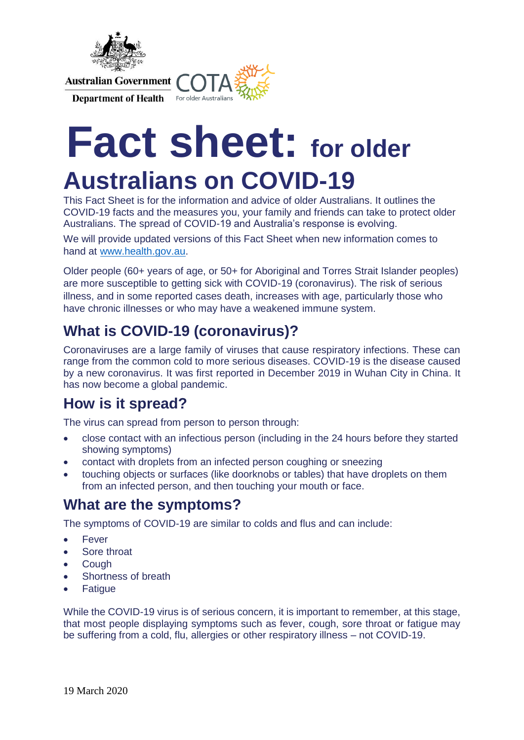

**Department of Health** For older Australians



# **Fact sheet: for older Australians on COVID-19**

This Fact Sheet is for the information and advice of older Australians. It outlines the COVID-19 facts and the measures you, your family and friends can take to protect older Australians. The spread of COVID-19 and Australia's response is evolving.

We will provide updated versions of this Fact Sheet when new information comes to hand at [www.health.gov.au.](http://www.health.gov.au/)

Older people (60+ years of age, or 50+ for Aboriginal and Torres Strait Islander peoples) are more susceptible to getting sick with COVID-19 (coronavirus). The risk of serious illness, and in some reported cases death, increases with age, particularly those who have chronic illnesses or who may have a weakened immune system.

# **What is COVID-19 (coronavirus)?**

Coronaviruses are a large family of viruses that cause respiratory infections. These can range from the common cold to more serious diseases. COVID-19 is the disease caused by a new coronavirus. It was first reported in December 2019 in Wuhan City in China. It has now become a global pandemic.

# **How is it spread?**

The virus can spread from person to person through:

- close contact with an infectious person (including in the 24 hours before they started showing symptoms)
- contact with droplets from an infected person coughing or sneezing
- touching objects or surfaces (like doorknobs or tables) that have droplets on them from an infected person, and then touching your mouth or face.

#### **What are the symptoms?**

The symptoms of COVID-19 are similar to colds and flus and can include:

- **•** Fever
- Sore throat
- **Cough**
- Shortness of breath
- **Fatigue**

While the COVID-19 virus is of serious concern, it is important to remember, at this stage, that most people displaying symptoms such as fever, cough, sore throat or fatigue may be suffering from a cold, flu, allergies or other respiratory illness – not COVID-19.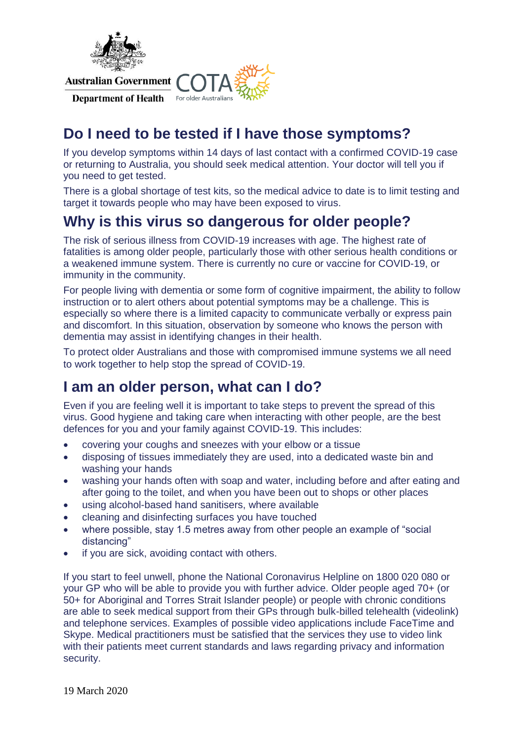

Department of Health For older Australians



# **Do I need to be tested if I have those symptoms?**

If you develop symptoms within 14 days of last contact with a confirmed COVID-19 case or returning to Australia, you should seek medical attention. Your doctor will tell you if you need to get tested.

There is a global shortage of test kits, so the medical advice to date is to limit testing and target it towards people who may have been exposed to virus.

# **Why is this virus so dangerous for older people?**

The risk of serious illness from COVID-19 increases with age. The highest rate of fatalities is among older people, particularly those with other serious health conditions or a weakened immune system. There is currently no cure or vaccine for COVID-19, or immunity in the community.

For people living with dementia or some form of cognitive impairment, the ability to follow instruction or to alert others about potential symptoms may be a challenge. This is especially so where there is a limited capacity to communicate verbally or express pain and discomfort. In this situation, observation by someone who knows the person with dementia may assist in identifying changes in their health.

To protect older Australians and those with compromised immune systems we all need to work together to help stop the spread of COVID-19.

#### **I am an older person, what can I do?**

Even if you are feeling well it is important to take steps to prevent the spread of this virus. Good hygiene and taking care when interacting with other people, are the best defences for you and your family against COVID-19. This includes:

- covering your coughs and sneezes with your elbow or a tissue
- disposing of tissues immediately they are used, into a dedicated waste bin and washing your hands
- washing your hands often with soap and water, including before and after eating and after going to the toilet, and when you have been out to shops or other places
- using alcohol-based hand sanitisers, where available
- cleaning and disinfecting surfaces you have touched
- where possible, stay 1.5 metres away from other people an example of "social distancing"
- if you are sick, avoiding contact with others.

If you start to feel unwell, phone the National Coronavirus Helpline on 1800 020 080 or your GP who will be able to provide you with further advice. Older people aged 70+ (or 50+ for Aboriginal and Torres Strait Islander people) or people with chronic conditions are able to seek medical support from their GPs through bulk-billed telehealth (videolink) and telephone services. Examples of possible video applications include FaceTime and Skype. Medical practitioners must be satisfied that the services they use to video link with their patients meet current standards and laws regarding privacy and information security.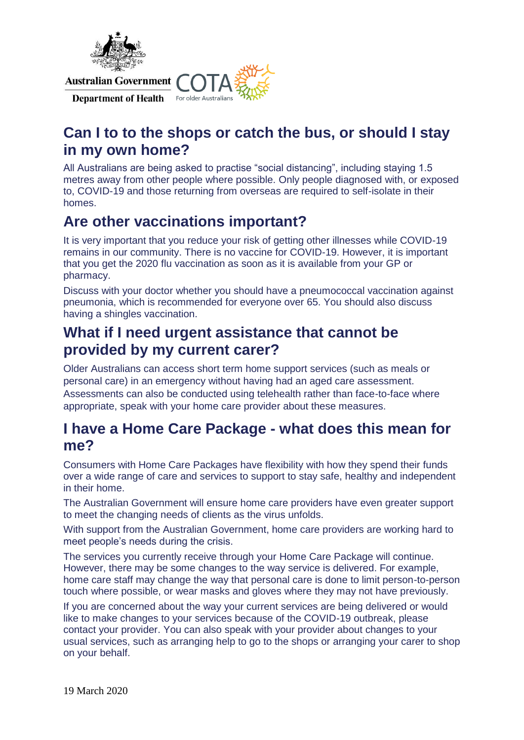

Department of Health For older Australians



# **Can I to to the shops or catch the bus, or should I stay in my own home?**

All Australians are being asked to practise "social distancing", including staying 1.5 metres away from other people where possible. Only people diagnosed with, or exposed to, COVID-19 and those returning from overseas are required to self-isolate in their homes.

# **Are other vaccinations important?**

It is very important that you reduce your risk of getting other illnesses while COVID-19 remains in our community. There is no vaccine for COVID-19. However, it is important that you get the 2020 flu vaccination as soon as it is available from your GP or pharmacy.

Discuss with your doctor whether you should have a pneumococcal vaccination against pneumonia, which is recommended for everyone over 65. You should also discuss having a shingles vaccination.

# **What if I need urgent assistance that cannot be provided by my current carer?**

Older Australians can access short term home support services (such as meals or personal care) in an emergency without having had an aged care assessment. Assessments can also be conducted using telehealth rather than face-to-face where appropriate, speak with your home care provider about these measures.

## **I have a Home Care Package - what does this mean for me?**

Consumers with Home Care Packages have flexibility with how they spend their funds over a wide range of care and services to support to stay safe, healthy and independent in their home.

The Australian Government will ensure home care providers have even greater support to meet the changing needs of clients as the virus unfolds.

With support from the Australian Government, home care providers are working hard to meet people's needs during the crisis.

The services you currently receive through your Home Care Package will continue. However, there may be some changes to the way service is delivered. For example, home care staff may change the way that personal care is done to limit person-to-person touch where possible, or wear masks and gloves where they may not have previously.

If you are concerned about the way your current services are being delivered or would like to make changes to your services because of the COVID-19 outbreak, please contact your provider. You can also speak with your provider about changes to your usual services, such as arranging help to go to the shops or arranging your carer to shop on your behalf.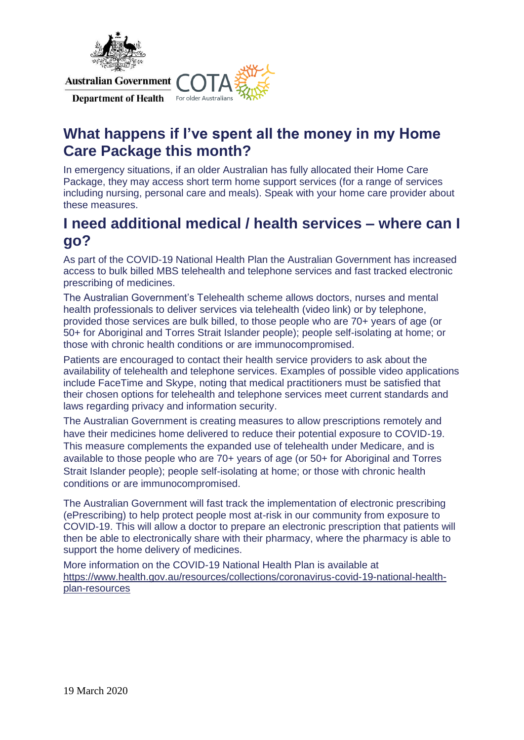

Department of Health For older Australians



# **What happens if I've spent all the money in my Home Care Package this month?**

In emergency situations, if an older Australian has fully allocated their Home Care Package, they may access short term home support services (for a range of services including nursing, personal care and meals). Speak with your home care provider about these measures.

## **I need additional medical / health services – where can I go?**

As part of the COVID-19 National Health Plan the Australian Government has increased access to bulk billed MBS telehealth and telephone services and fast tracked electronic prescribing of medicines.

The Australian Government's Telehealth scheme allows doctors, nurses and mental health professionals to deliver services via telehealth (video link) or by telephone, provided those services are bulk billed, to those people who are 70+ years of age (or 50+ for Aboriginal and Torres Strait Islander people); people self-isolating at home; or those with chronic health conditions or are immunocompromised.

Patients are encouraged to contact their health service providers to ask about the availability of telehealth and telephone services. Examples of possible video applications include FaceTime and Skype, noting that medical practitioners must be satisfied that their chosen options for telehealth and telephone services meet current standards and laws regarding privacy and information security.

The Australian Government is creating measures to allow prescriptions remotely and have their medicines home delivered to reduce their potential exposure to COVID-19. This measure complements the expanded use of telehealth under Medicare, and is available to those people who are 70+ years of age (or 50+ for Aboriginal and Torres Strait Islander people); people self-isolating at home; or those with chronic health conditions or are immunocompromised.

The Australian Government will fast track the implementation of electronic prescribing (ePrescribing) to help protect people most at-risk in our community from exposure to COVID-19. This will allow a doctor to prepare an electronic prescription that patients will then be able to electronically share with their pharmacy, where the pharmacy is able to support the home delivery of medicines.

More information on the COVID-19 National Health Plan is available at https://www.health.gov.au/resources/collections/coronavirus-covid-19-national-healthplan-resources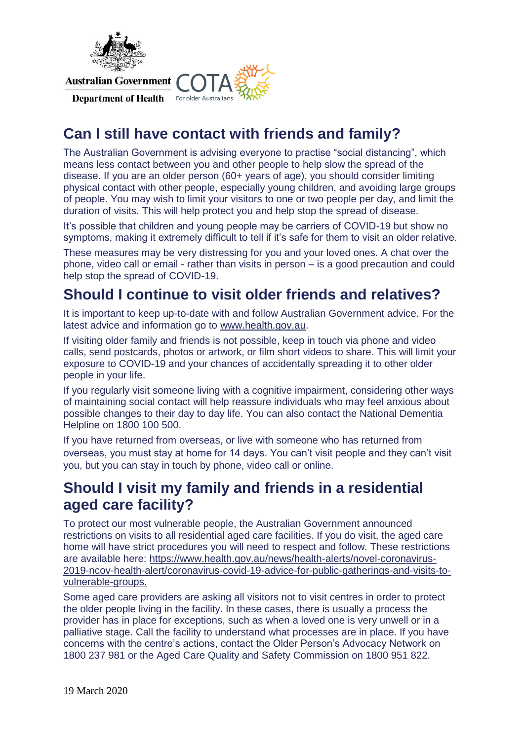

Department of Health For older Australians



# **Can I still have contact with friends and family?**

The Australian Government is advising everyone to practise "social distancing", which means less contact between you and other people to help slow the spread of the disease. If you are an older person (60+ years of age), you should consider limiting physical contact with other people, especially young children, and avoiding large groups of people. You may wish to limit your visitors to one or two people per day, and limit the duration of visits. This will help protect you and help stop the spread of disease.

It's possible that children and young people may be carriers of COVID-19 but show no symptoms, making it extremely difficult to tell if it's safe for them to visit an older relative.

These measures may be very distressing for you and your loved ones. A chat over the phone, video call or email - rather than visits in person – is a good precaution and could help stop the spread of COVID-19.

# **Should I continue to visit older friends and relatives?**

It is important to keep up-to-date with and follow Australian Government advice. For the latest advice and information go to www.health.gov.au.

If visiting older family and friends is not possible, keep in touch via phone and video calls, send postcards, photos or artwork, or film short videos to share. This will limit your exposure to COVID-19 and your chances of accidentally spreading it to other older people in your life.

If you regularly visit someone living with a cognitive impairment, considering other ways of maintaining social contact will help reassure individuals who may feel anxious about possible changes to their day to day life. You can also contact the National Dementia Helpline on 1800 100 500.

If you have returned from overseas, or live with someone who has returned from overseas, you must stay at home for 14 days. You can't visit people and they can't visit you, but you can stay in touch by phone, video call or online.

## **Should I visit my family and friends in a residential aged care facility?**

To protect our most vulnerable people, the Australian Government announced restrictions on visits to all residential aged care facilities. If you do visit, the aged care home will have strict procedures you will need to respect and follow. These restrictions are available here: https://www.health.gov.au/news/health-alerts/novel-coronavirus-2019-ncov-health-alert/coronavirus-covid-19-advice-for-public-gatherings-and-visits-tovulnerable-groups.

Some aged care providers are asking all visitors not to visit centres in order to protect the older people living in the facility. In these cases, there is usually a process the provider has in place for exceptions, such as when a loved one is very unwell or in a palliative stage. Call the facility to understand what processes are in place. If you have concerns with the centre's actions, contact the Older Person's Advocacy Network on 1800 237 981 or the Aged Care Quality and Safety Commission on 1800 951 822.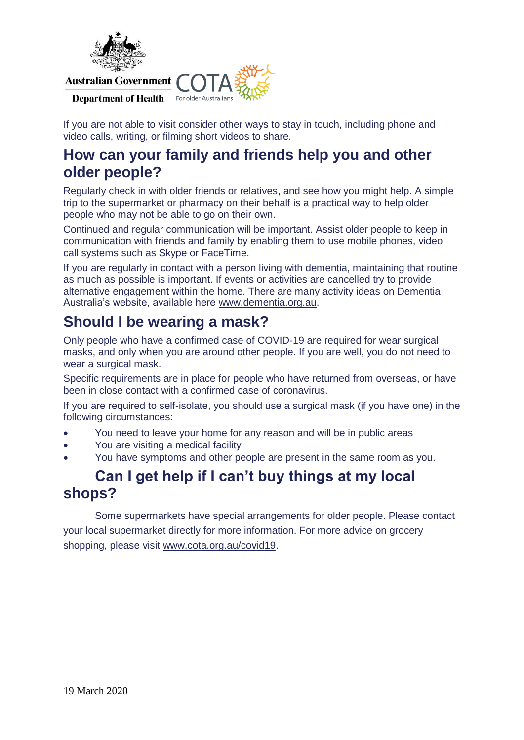

#### Department of Health For older Australians



If you are not able to visit consider other ways to stay in touch, including phone and video calls, writing, or filming short videos to share.

#### **How can your family and friends help you and other older people?**

Regularly check in with older friends or relatives, and see how you might help. A simple trip to the supermarket or pharmacy on their behalf is a practical way to help older people who may not be able to go on their own.

Continued and regular communication will be important. Assist older people to keep in communication with friends and family by enabling them to use mobile phones, video call systems such as Skype or FaceTime.

If you are regularly in contact with a person living with dementia, maintaining that routine as much as possible is important. If events or activities are cancelled try to provide alternative engagement within the home. There are many activity ideas on Dementia Australia's website, available here www.dementia.org.au.

# **Should I be wearing a mask?**

Only people who have a confirmed case of COVID-19 are required for wear surgical masks, and only when you are around other people. If you are well, you do not need to wear a surgical mask.

Specific requirements are in place for people who have returned from overseas, or have been in close contact with a confirmed case of coronavirus.

If you are required to self-isolate, you should use a surgical mask (if you have one) in the following circumstances:

- You need to leave your home for any reason and will be in public areas
- You are visiting a medical facility
- You have symptoms and other people are present in the same room as you.

#### **Can I get help if I can't buy things at my local shops?**

Some supermarkets have special arrangements for older people. Please contact your local supermarket directly for more information. For more advice on grocery shopping, please visit www.cota.org.au/covid19.